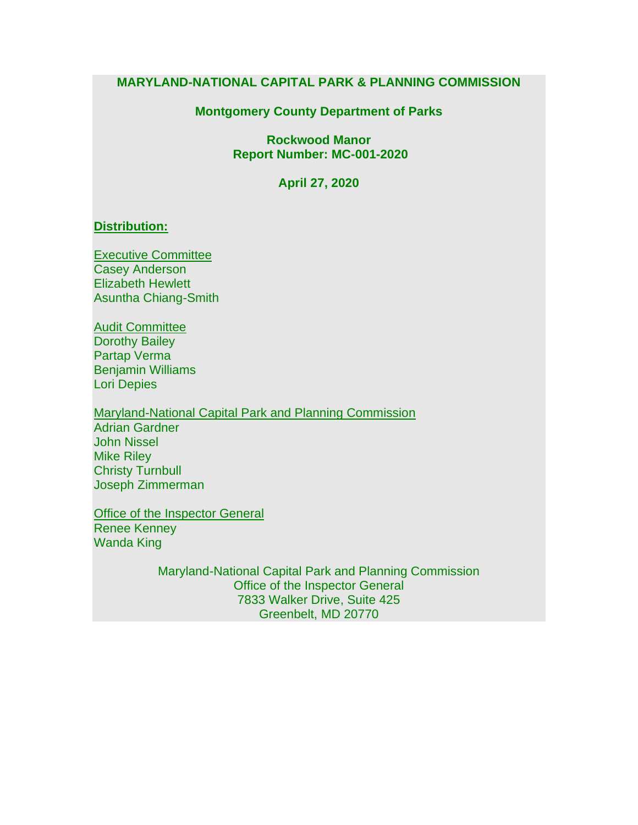#### **MARYLAND-NATIONAL CAPITAL PARK & PLANNING COMMISSION**

#### **Montgomery County Department of Parks**

**Rockwood Manor Report Number: MC-001-2020**

**April 27, 2020**

#### **Distribution:**

Executive Committee Casey Anderson Elizabeth Hewlett Asuntha Chiang-Smith

Audit Committee Dorothy Bailey Partap Verma Benjamin Williams Lori Depies

Maryland-National Capital Park and Planning Commission Adrian Gardner John Nissel Mike Riley Christy Turnbull Joseph Zimmerman

Office of the Inspector General Renee Kenney Wanda King

> Maryland-National Capital Park and Planning Commission Office of the Inspector General 7833 Walker Drive, Suite 425 Greenbelt, MD 20770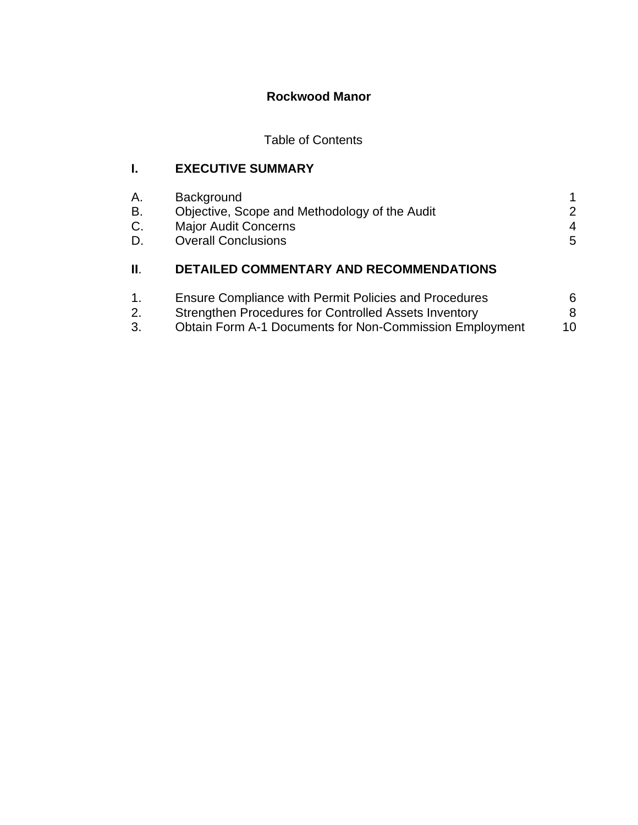# **Rockwood Manor**

# Table of Contents

# **I. EXECUTIVE SUMMARY**

| Α.       | <b>Background</b>                                                            |                    |
|----------|------------------------------------------------------------------------------|--------------------|
| В.<br>C. | Objective, Scope and Methodology of the Audit<br><b>Major Audit Concerns</b> | $\mathcal{P}$<br>4 |
| D.       | <b>Overall Conclusions</b>                                                   | 5                  |
| Ш.       | <b>DETAILED COMMENTARY AND RECOMMENDATIONS</b>                               |                    |
|          |                                                                              |                    |

| $\mathbf{1}$ . | <b>Ensure Compliance with Permit Policies and Procedures</b> | 6. |
|----------------|--------------------------------------------------------------|----|
| 2.             | Strengthen Procedures for Controlled Assets Inventory        |    |
| 3.             | Obtain Form A-1 Documents for Non-Commission Employment      | 10 |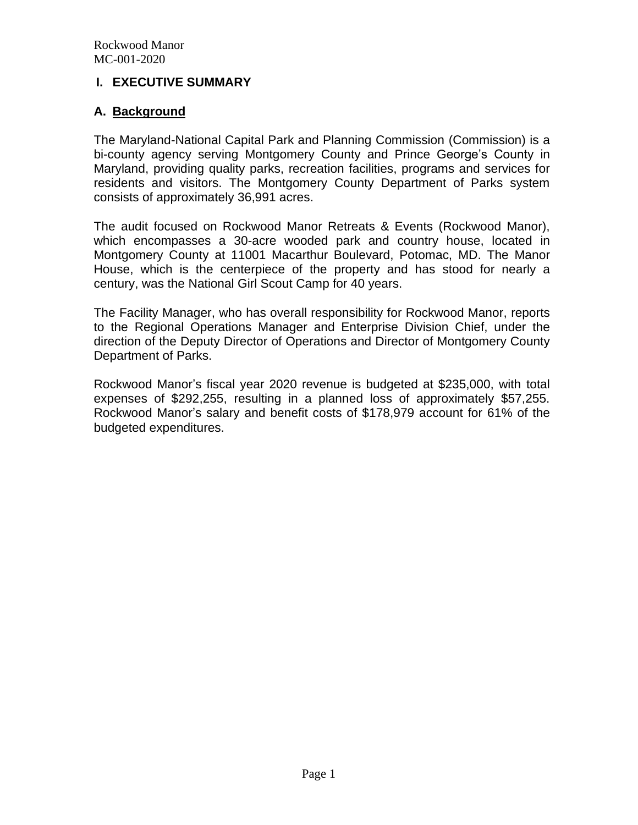#### **I. EXECUTIVE SUMMARY**

### **A. Background**

The Maryland-National Capital Park and Planning Commission (Commission) is a bi-county agency serving Montgomery County and Prince George's County in Maryland, providing quality parks, recreation facilities, programs and services for residents and visitors. The Montgomery County Department of Parks system consists of approximately 36,991 acres.

The audit focused on Rockwood Manor Retreats & Events (Rockwood Manor), which encompasses a 30-acre wooded park and country house, located in Montgomery County at 11001 Macarthur Boulevard, Potomac, MD. The Manor House, which is the centerpiece of the property and has stood for nearly a century, was the National Girl Scout Camp for 40 years.

The Facility Manager, who has overall responsibility for Rockwood Manor, reports to the Regional Operations Manager and Enterprise Division Chief, under the direction of the Deputy Director of Operations and Director of Montgomery County Department of Parks.

Rockwood Manor's fiscal year 2020 revenue is budgeted at \$235,000, with total expenses of \$292,255, resulting in a planned loss of approximately \$57,255. Rockwood Manor's salary and benefit costs of \$178,979 account for 61% of the budgeted expenditures.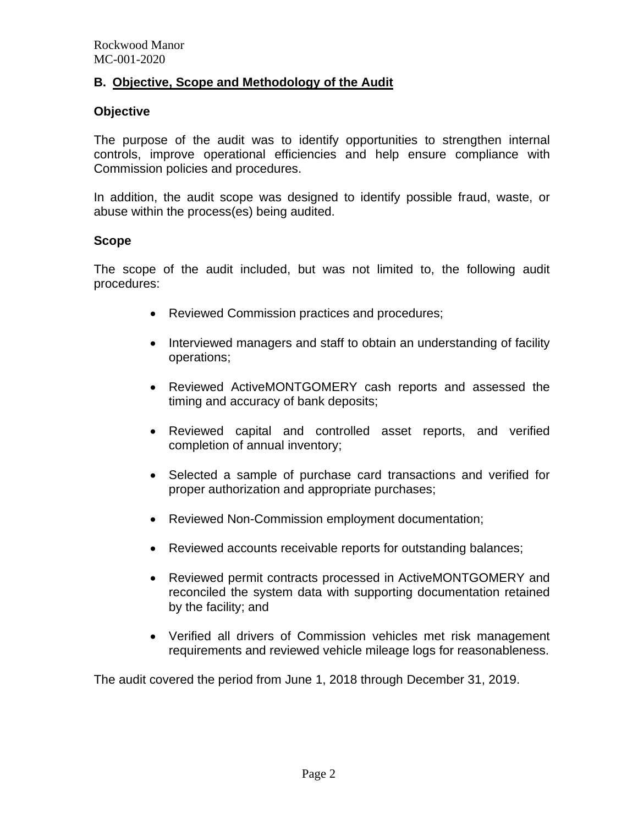### **B. Objective, Scope and Methodology of the Audit**

#### **Objective**

The purpose of the audit was to identify opportunities to strengthen internal controls, improve operational efficiencies and help ensure compliance with Commission policies and procedures.

In addition, the audit scope was designed to identify possible fraud, waste, or abuse within the process(es) being audited.

#### **Scope**

The scope of the audit included, but was not limited to, the following audit procedures:

- Reviewed Commission practices and procedures;
- Interviewed managers and staff to obtain an understanding of facility operations;
- Reviewed ActiveMONTGOMERY cash reports and assessed the timing and accuracy of bank deposits;
- Reviewed capital and controlled asset reports, and verified completion of annual inventory;
- Selected a sample of purchase card transactions and verified for proper authorization and appropriate purchases;
- Reviewed Non-Commission employment documentation;
- Reviewed accounts receivable reports for outstanding balances;
- Reviewed permit contracts processed in ActiveMONTGOMERY and reconciled the system data with supporting documentation retained by the facility; and
- Verified all drivers of Commission vehicles met risk management requirements and reviewed vehicle mileage logs for reasonableness.

The audit covered the period from June 1, 2018 through December 31, 2019.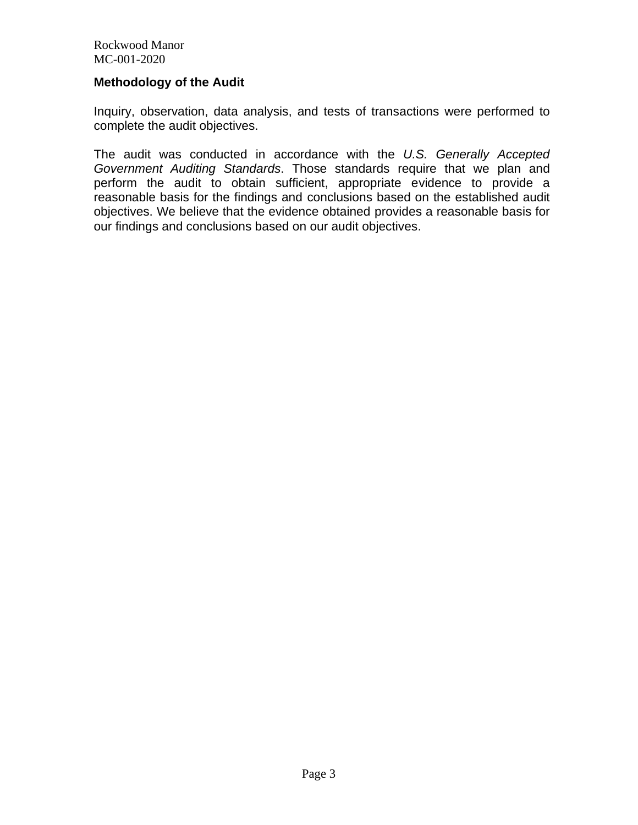#### **Methodology of the Audit**

Inquiry, observation, data analysis, and tests of transactions were performed to complete the audit objectives.

The audit was conducted in accordance with the *U.S. Generally Accepted Government Auditing Standards*. Those standards require that we plan and perform the audit to obtain sufficient, appropriate evidence to provide a reasonable basis for the findings and conclusions based on the established audit objectives. We believe that the evidence obtained provides a reasonable basis for our findings and conclusions based on our audit objectives.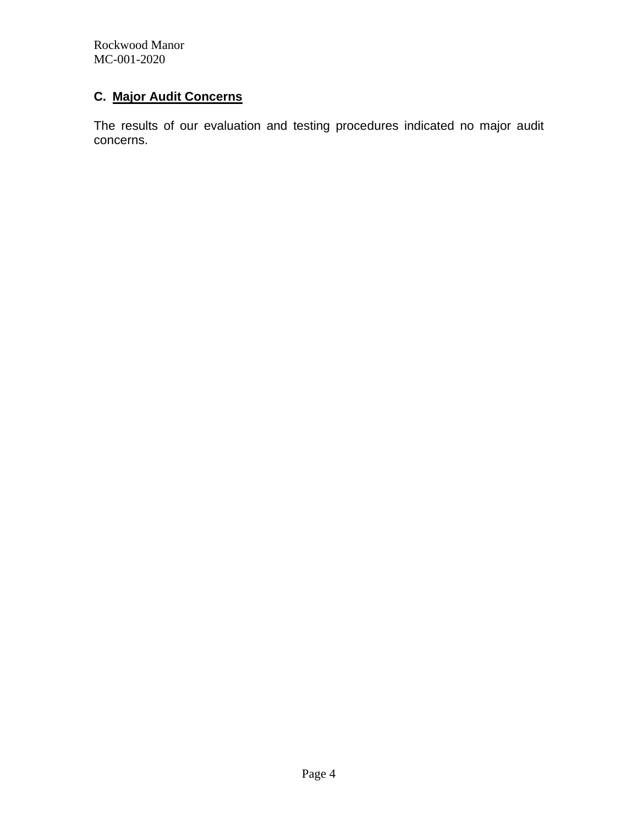## **C. Major Audit Concerns**

The results of our evaluation and testing procedures indicated no major audit concerns.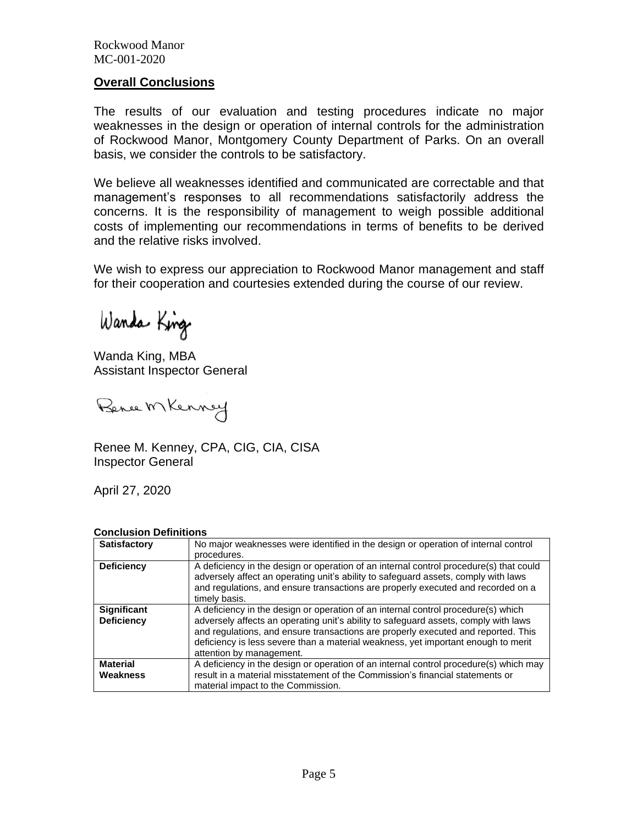#### **Overall Conclusions**

The results of our evaluation and testing procedures indicate no major weaknesses in the design or operation of internal controls for the administration of Rockwood Manor, Montgomery County Department of Parks. On an overall basis, we consider the controls to be satisfactory.

We believe all weaknesses identified and communicated are correctable and that management's responses to all recommendations satisfactorily address the concerns. It is the responsibility of management to weigh possible additional costs of implementing our recommendations in terms of benefits to be derived and the relative risks involved.

We wish to express our appreciation to Rockwood Manor management and staff for their cooperation and courtesies extended during the course of our review.

Wanda King

Wanda King, MBA Assistant Inspector General

Bence Mkenney

Renee M. Kenney, CPA, CIG, CIA, CISA Inspector General

April 27, 2020

#### **Conclusion Definitions**

| Satisfactory                            | No major weaknesses were identified in the design or operation of internal control                                                                                                                                                                                                                                                                                             |
|-----------------------------------------|--------------------------------------------------------------------------------------------------------------------------------------------------------------------------------------------------------------------------------------------------------------------------------------------------------------------------------------------------------------------------------|
|                                         | procedures.                                                                                                                                                                                                                                                                                                                                                                    |
| <b>Deficiency</b>                       | A deficiency in the design or operation of an internal control procedure(s) that could<br>adversely affect an operating unit's ability to safeguard assets, comply with laws<br>and regulations, and ensure transactions are properly executed and recorded on a<br>timely basis.                                                                                              |
| <b>Significant</b><br><b>Deficiency</b> | A deficiency in the design or operation of an internal control procedure(s) which<br>adversely affects an operating unit's ability to safeguard assets, comply with laws<br>and regulations, and ensure transactions are properly executed and reported. This<br>deficiency is less severe than a material weakness, yet important enough to merit<br>attention by management. |
| <b>Material</b><br>Weakness             | A deficiency in the design or operation of an internal control procedure(s) which may<br>result in a material misstatement of the Commission's financial statements or<br>material impact to the Commission.                                                                                                                                                                   |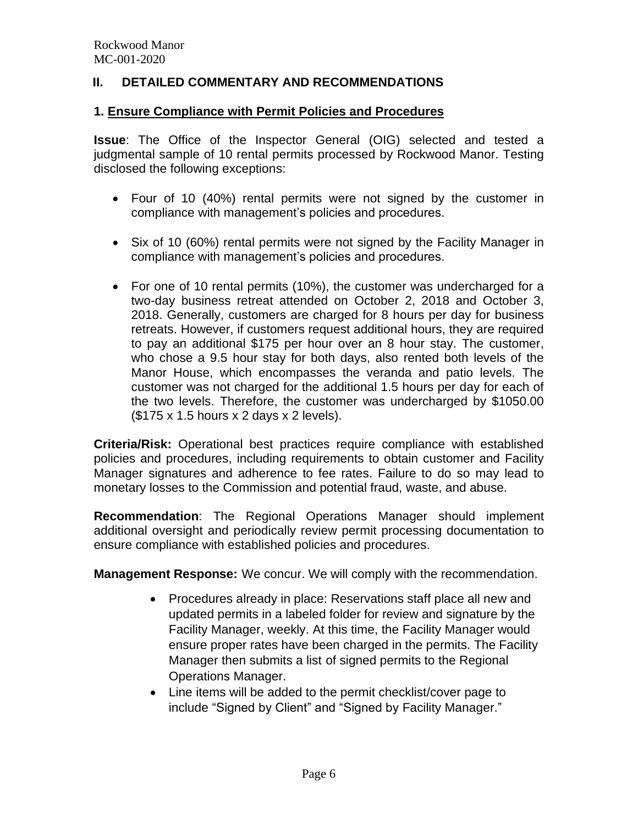### **II. DETAILED COMMENTARY AND RECOMMENDATIONS**

#### **1. Ensure Compliance with Permit Policies and Procedures**

**Issue**: The Office of the Inspector General (OIG) selected and tested a judgmental sample of 10 rental permits processed by Rockwood Manor. Testing disclosed the following exceptions:

- Four of 10 (40%) rental permits were not signed by the customer in compliance with management's policies and procedures.
- Six of 10 (60%) rental permits were not signed by the Facility Manager in compliance with management's policies and procedures.
- For one of 10 rental permits (10%), the customer was undercharged for a two-day business retreat attended on October 2, 2018 and October 3, 2018. Generally, customers are charged for 8 hours per day for business retreats. However, if customers request additional hours, they are required to pay an additional \$175 per hour over an 8 hour stay. The customer, who chose a 9.5 hour stay for both days, also rented both levels of the Manor House, which encompasses the veranda and patio levels. The customer was not charged for the additional 1.5 hours per day for each of the two levels. Therefore, the customer was undercharged by \$1050.00 (\$175 x 1.5 hours x 2 days x 2 levels).

**Criteria/Risk:** Operational best practices require compliance with established policies and procedures, including requirements to obtain customer and Facility Manager signatures and adherence to fee rates. Failure to do so may lead to monetary losses to the Commission and potential fraud, waste, and abuse.

**Recommendation**: The Regional Operations Manager should implement additional oversight and periodically review permit processing documentation to ensure compliance with established policies and procedures.

**Management Response:** We concur. We will comply with the recommendation.

- Procedures already in place: Reservations staff place all new and updated permits in a labeled folder for review and signature by the Facility Manager, weekly. At this time, the Facility Manager would ensure proper rates have been charged in the permits. The Facility Manager then submits a list of signed permits to the Regional Operations Manager.
- Line items will be added to the permit checklist/cover page to include "Signed by Client" and "Signed by Facility Manager."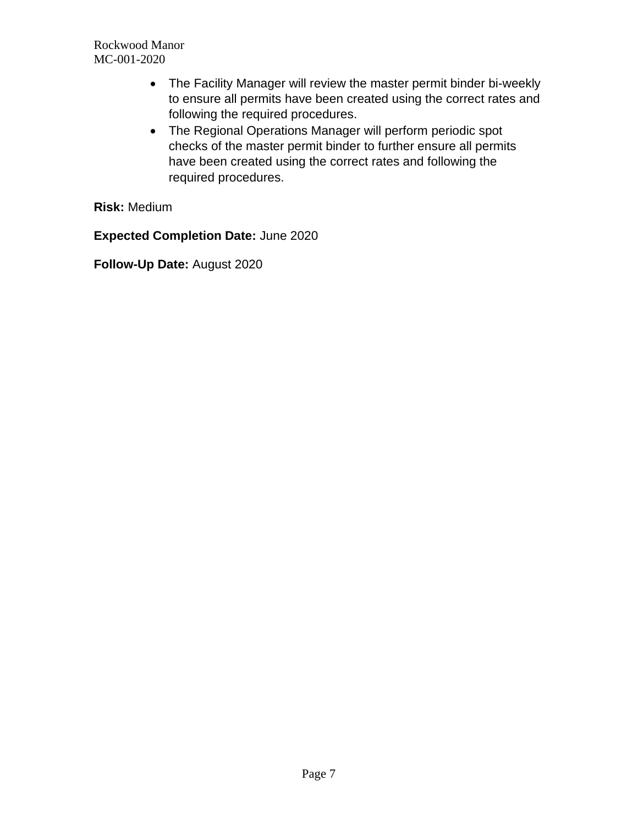- The Facility Manager will review the master permit binder bi-weekly to ensure all permits have been created using the correct rates and following the required procedures.
- The Regional Operations Manager will perform periodic spot checks of the master permit binder to further ensure all permits have been created using the correct rates and following the required procedures.

**Risk:** Medium

**Expected Completion Date:** June 2020

**Follow-Up Date:** August 2020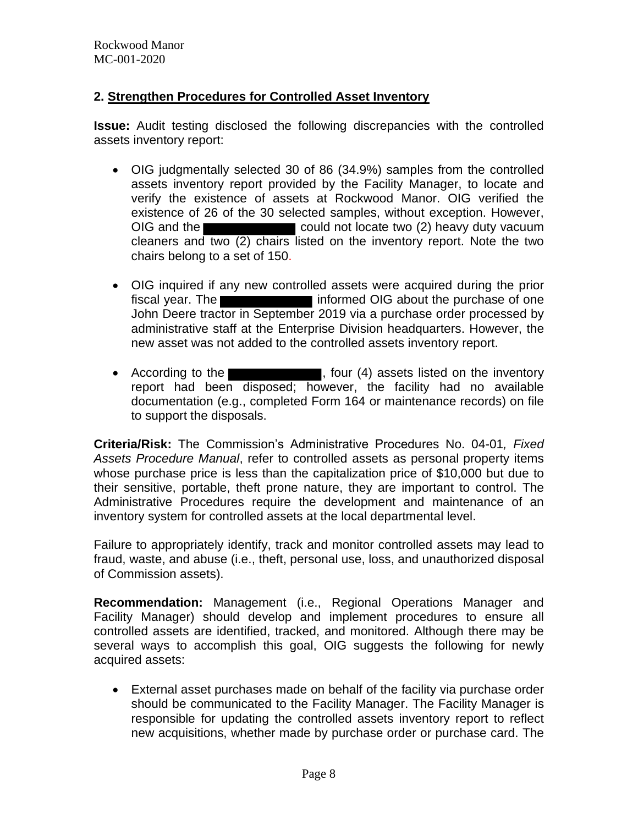## **2. Strengthen Procedures for Controlled Asset Inventory**

**Issue:** Audit testing disclosed the following discrepancies with the controlled assets inventory report:

- OIG judgmentally selected 30 of 86 (34.9%) samples from the controlled assets inventory report provided by the Facility Manager, to locate and verify the existence of assets at Rockwood Manor. OIG verified the existence of 26 of the 30 selected samples, without exception. However, OIG and the could not locate two (2) heavy duty vacuum cleaners and two (2) chairs listed on the inventory report. Note the two chairs belong to a set of 150.
- OIG inquired if any new controlled assets were acquired during the prior fiscal year. The **informed OIG** about the purchase of one John Deere tractor in September 2019 via a purchase order processed by administrative staff at the Enterprise Division headquarters. However, the new asset was not added to the controlled assets inventory report.
- According to the **Election Contract Contract Contract Contract Contract Contract Contract Contract Contract Contract Contract Contract Contract Contract Contract Contract Contract Contract Contract Contract Contract Cont** report had been disposed; however, the facility had no available documentation (e.g., completed Form 164 or maintenance records) on file to support the disposals.

**Criteria/Risk:** The Commission's Administrative Procedures No. 04-01*, Fixed Assets Procedure Manual*, refer to controlled assets as personal property items whose purchase price is less than the capitalization price of \$10,000 but due to their sensitive, portable, theft prone nature, they are important to control. The Administrative Procedures require the development and maintenance of an inventory system for controlled assets at the local departmental level.

Failure to appropriately identify, track and monitor controlled assets may lead to fraud, waste, and abuse (i.e., theft, personal use, loss, and unauthorized disposal of Commission assets).

**Recommendation:** Management (i.e., Regional Operations Manager and Facility Manager) should develop and implement procedures to ensure all controlled assets are identified, tracked, and monitored. Although there may be several ways to accomplish this goal, OIG suggests the following for newly acquired assets:

• External asset purchases made on behalf of the facility via purchase order should be communicated to the Facility Manager. The Facility Manager is responsible for updating the controlled assets inventory report to reflect new acquisitions, whether made by purchase order or purchase card. The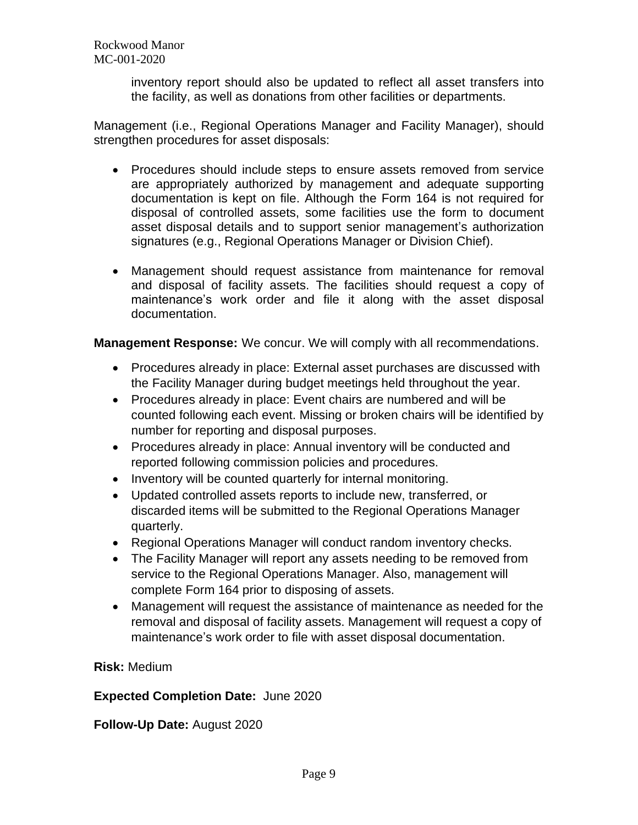> inventory report should also be updated to reflect all asset transfers into the facility, as well as donations from other facilities or departments.

Management (i.e., Regional Operations Manager and Facility Manager), should strengthen procedures for asset disposals:

- Procedures should include steps to ensure assets removed from service are appropriately authorized by management and adequate supporting documentation is kept on file. Although the Form 164 is not required for disposal of controlled assets, some facilities use the form to document asset disposal details and to support senior management's authorization signatures (e.g., Regional Operations Manager or Division Chief).
- Management should request assistance from maintenance for removal and disposal of facility assets. The facilities should request a copy of maintenance's work order and file it along with the asset disposal documentation.

**Management Response:** We concur. We will comply with all recommendations.

- Procedures already in place: External asset purchases are discussed with the Facility Manager during budget meetings held throughout the year.
- Procedures already in place: Event chairs are numbered and will be counted following each event. Missing or broken chairs will be identified by number for reporting and disposal purposes.
- Procedures already in place: Annual inventory will be conducted and reported following commission policies and procedures.
- Inventory will be counted quarterly for internal monitoring.
- Updated controlled assets reports to include new, transferred, or discarded items will be submitted to the Regional Operations Manager quarterly.
- Regional Operations Manager will conduct random inventory checks.
- The Facility Manager will report any assets needing to be removed from service to the Regional Operations Manager. Also, management will complete Form 164 prior to disposing of assets.
- Management will request the assistance of maintenance as needed for the removal and disposal of facility assets. Management will request a copy of maintenance's work order to file with asset disposal documentation.

**Risk:** Medium

# **Expected Completion Date:** June 2020

**Follow-Up Date:** August 2020